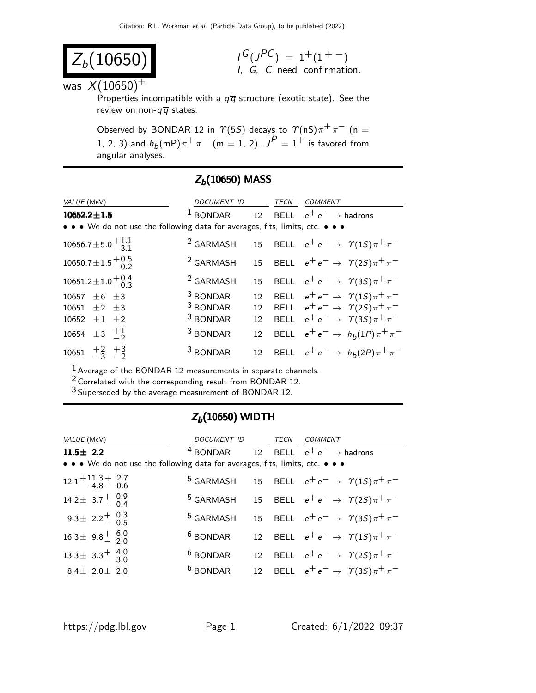$G(J^{PC}) = 1+(1^{+})$ I, G, C need confirmation.

$$
Z_b(10650)
$$

was  $X(10650)^{\pm}$ 

Properties incompatible with a  $q\overline{q}$  structure (exotic state). See the review on non- $q\overline{q}$  states.

Observed by BONDAR 12 in  $\Upsilon(5S)$  decays to  $\Upsilon(nS)\pi^{+}\pi^{-}$  (n = 1, 2, 3) and  $h_b(mP)\pi^+\pi^ (m=1,\,2)$ .  $J^P=1^+$  is favored from angular analyses.

| VALUE (MeV)                                                                   | DOCUMENT ID          |    | TECN | <b>COMMENT</b>                                    |
|-------------------------------------------------------------------------------|----------------------|----|------|---------------------------------------------------|
| $10652.2 \pm 1.5$                                                             | $1$ BONDAR           |    |      | 12 BELL $e^+e^- \rightarrow$ hadrons              |
| • • • We do not use the following data for averages, fits, limits, etc. • • • |                      |    |      |                                                   |
| 10656.7 ± 5.0 $^{+1.1}_{-3.1}$                                                | <sup>2</sup> GARMASH |    |      | 15 BELL $e^+e^- \rightarrow \gamma(1S)\pi^+\pi^-$ |
| $10650.7 \pm 1.5 \begin{array}{c} +0.5 \\ -0.2 \end{array}$                   | <sup>2</sup> GARMASH |    |      | 15 BELL $e^+e^- \rightarrow \gamma(2S)\pi^+\pi^-$ |
| $10651.2 \pm 1.0 \frac{+0.4}{0.3}$                                            | <sup>2</sup> GARMASH | 15 |      | BELL $e^+e^- \rightarrow \gamma(3S)\pi^+\pi^-$    |
| 10657 $\pm 6 \pm 3$                                                           | <sup>3</sup> BONDAR  | 12 |      | BELL $e^+e^- \rightarrow \gamma(1S)\pi^+\pi^-$    |
| 10651 $\pm 2$ $\pm 3$                                                         | <sup>3</sup> BONDAR  |    |      | 12 BELL $e^+e^- \rightarrow \gamma(2S)\pi^+\pi^-$ |
| 10652 $\pm 1$ $\pm 2$                                                         | <sup>3</sup> BONDAR  | 12 |      | BELL $e^+e^- \rightarrow \gamma(35)\pi^+\pi^-$    |
| 10654 $\pm 3$ $\frac{+1}{2}$                                                  | <sup>3</sup> BONDAR  | 12 |      | BELL $e^+e^- \rightarrow h_b(1P)\pi^+\pi^-$       |
| 10651 $\frac{+2}{-3}$ $\frac{+3}{-2}$                                         | <sup>3</sup> BONDAR  | 12 |      | BELL $e^+e^- \rightarrow h_b(2P)\pi^+\pi^-$       |

### $Z_b(10650)$  MASS

1 Average of the BONDAR 12 measurements in separate channels.

2 Correlated with the corresponding result from BONDAR 12.

3 Superseded by the average measurement of BONDAR 12.

#### $Z_b(10650)$  WIDTH

| VALUE (MeV)                                                                   | DOCUMENT ID          | TECN | <b>COMMENT</b>                                                         |
|-------------------------------------------------------------------------------|----------------------|------|------------------------------------------------------------------------|
| $11.5 \pm 2.2$                                                                | <sup>4</sup> BONDAR  |      | 12 BELL $e^+e^- \rightarrow$ hadrons                                   |
| • • • We do not use the following data for averages, fits, limits, etc. • • • |                      |      |                                                                        |
| $12.1 + 11.3 + 2.7$<br>4.8 - 0.6                                              |                      |      | <sup>5</sup> GARMASH 15 BELL $e^+e^- \rightarrow \gamma(1S)\pi^+\pi^-$ |
| 14.2 ± 3.7 $^{+}$ 0.9                                                         | <sup>5</sup> GARMASH |      | 15 BELL $e^+e^- \to \gamma(2S)\pi^+\pi^-$                              |
| 9.3 ± 2.2 $^+$ 0.3                                                            | <sup>5</sup> GARMASH |      | 15 BELL $e^+e^- \rightarrow \gamma(3S)\pi^+\pi^-$                      |
| $16.3 \pm 9.8 \pm 6.0$                                                        | <sup>6</sup> BONDAR  |      | 12 BELL $e^+e^- \rightarrow \gamma(1S)\pi^+\pi^-$                      |
| $13.3 \pm 3.3 \pm 4.0$                                                        | <sup>6</sup> BONDAR  |      | 12 BELL $e^+e^- \rightarrow \gamma(2S)\pi^+\pi^-$                      |
| $8.4 \pm 2.0 \pm 2.0$                                                         | $6$ BONDAR           |      | 12 BELL $e^+e^- \rightarrow \gamma(3S)\pi^+\pi^-$                      |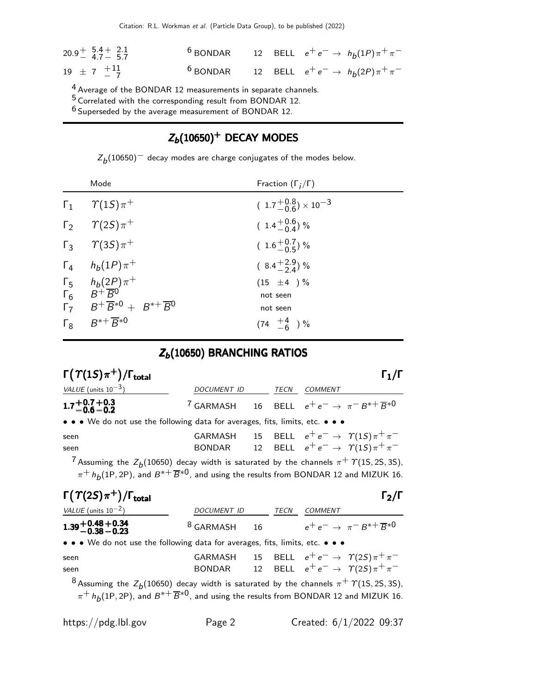| $20.9^{+}$ 5.4 + 2.1<br>4.7 - 5.7 |  | <sup>6</sup> BONDAR 12 BELL $e^+e^- \rightarrow h_b(1P)\pi^+\pi^-$ |
|-----------------------------------|--|--------------------------------------------------------------------|
| $19 \pm 7$ $^{+11}_{-7}$          |  | <sup>6</sup> BONDAR 12 BELL $e^+e^- \rightarrow h_b(2P)\pi^+\pi^-$ |

 $4$  Average of the BONDAR 12 measurements in separate channels.

<sup>5</sup> Correlated with the corresponding result from BONDAR 12.

 $^6$  Superseded by the average measurement of BONDAR 12.

## $Z_b(10650)^+$  DECAY MODES

 $Z_b(10650)^+$  decay modes are charge conjugates of the modes below.

|            | Mode                                                                                                                                                   | Fraction $(\Gamma_i/\Gamma)$         |
|------------|--------------------------------------------------------------------------------------------------------------------------------------------------------|--------------------------------------|
|            | $\Gamma_1$ $\gamma(1S)\pi^+$                                                                                                                           | $(1.7^{+0.8}_{-0.6}) \times 10^{-3}$ |
|            | $\Gamma_2$ $\gamma$ (2S) $\pi$ <sup>+</sup>                                                                                                            | $(1.4\frac{+0.6}{-0.4})\%$           |
|            | $\Gamma_3$ $\gamma$ (3S) $\pi$ <sup>+</sup>                                                                                                            | $(1.6\substack{+0.7\\-0.5})$ %       |
|            | $\Gamma_4$ $h_b(1P)\pi^+$                                                                                                                              | $(8.4\frac{+2.9}{2.4})$ %            |
|            | $\begin{array}{ccc} \n\Gamma_5 & h_b(2P)\pi^+\\ \n\Gamma_6 & B^+\overline{B}^0\\ \n\Gamma_7 & B^+\overline{B}^{*0}+B^{*+}\overline{B}^0 \n\end{array}$ | $(15 \pm 4) \%$                      |
|            |                                                                                                                                                        | not seen                             |
|            |                                                                                                                                                        | not seen                             |
| $\Gamma_8$ | $B^{*+} \overline{B}^{*0}$                                                                                                                             | $(74 \tfrac{+4}{-6})\%$              |

# $Z_b(10650)$  BRANCHING RATIOS

| $\Gamma(\Upsilon(1S)\pi^+) / \Gamma_{\text{total}}$                                                                                                                                                                           |                                                                                |  |                |                                                                                                |
|-------------------------------------------------------------------------------------------------------------------------------------------------------------------------------------------------------------------------------|--------------------------------------------------------------------------------|--|----------------|------------------------------------------------------------------------------------------------|
| VALUE (units $10^{-3}$ )                                                                                                                                                                                                      | DOCUMENT ID TECN COMMENT                                                       |  |                |                                                                                                |
| $1.7 + 0.7 + 0.3$<br>$-0.6 - 0.2$                                                                                                                                                                                             | <sup>7</sup> GARMASH 16 BELL $e^+e^- \rightarrow \pi^-B^{*+}\overline{B}^{*0}$ |  |                |                                                                                                |
| • • • We do not use the following data for averages, fits, limits, etc. • • •                                                                                                                                                 |                                                                                |  |                |                                                                                                |
| seen<br>seen                                                                                                                                                                                                                  | GARMASH<br>BONDAR                                                              |  |                | 15 BELL $e^+e^- \to \gamma(1S)\pi^+\pi^-$<br>12 BELL $e^+e^- \rightarrow \gamma(1S)\pi^+\pi^-$ |
| <sup>7</sup> Assuming the $Z_b(10650)$ decay width is saturated by the channels $\pi^+$ $\Upsilon(15, 25, 35)$ ,<br>$\pi^+ h_b(1P, 2P)$ , and $B^{*+} \overline{B}^{*0}$ , and using the results from BONDAR 12 and MIZUK 16. |                                                                                |  |                |                                                                                                |
|                                                                                                                                                                                                                               |                                                                                |  |                |                                                                                                |
| $\Gamma(\Upsilon(2S)\pi^+)/\Gamma_{\rm total}$                                                                                                                                                                                |                                                                                |  |                | $\mathsf{\Gamma}_2/\mathsf{\Gamma}$                                                            |
| VALUE (units $10^{-2}$ )                                                                                                                                                                                                      | DOCUMENT ID TECN                                                               |  | <b>COMMENT</b> |                                                                                                |
| $1.39 + 0.48 + 0.34$<br>-0.38 -0.23                                                                                                                                                                                           | <sup>8</sup> GARMASH 16 $e^+e^- \rightarrow \pi^-B^{*+}\overline{B}^{*0}$      |  |                |                                                                                                |
| • • • We do not use the following data for averages, fits, limits, etc. • • •                                                                                                                                                 |                                                                                |  |                |                                                                                                |
| seen                                                                                                                                                                                                                          | GARMASH                                                                        |  |                | 15 BELL $e^+e^- \rightarrow \gamma(2S)\pi^+\pi^-$                                              |
| seen                                                                                                                                                                                                                          | BONDAR                                                                         |  |                | 12 BELL $e^+e^- \rightarrow \gamma(2S)\pi^+\pi^-$                                              |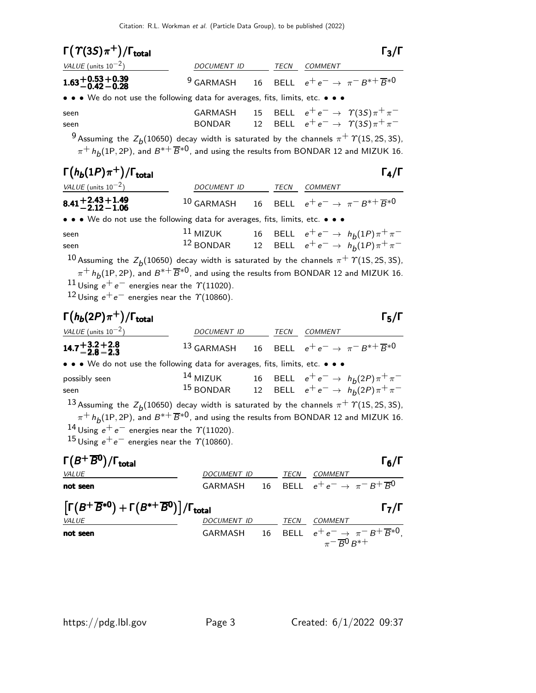| $\Gamma(\Upsilon(3S)\pi^+)/\Gamma_{\text{total}}$                                                                                                                                                                                                          |                                                                                 |      |                                                           | $\Gamma_3/\Gamma$ |
|------------------------------------------------------------------------------------------------------------------------------------------------------------------------------------------------------------------------------------------------------------|---------------------------------------------------------------------------------|------|-----------------------------------------------------------|-------------------|
| VALUE (units $10^{-2}$ )                                                                                                                                                                                                                                   | <b>DOCUMENT ID</b>                                                              | TECN | <b>COMMENT</b>                                            |                   |
| $1.63 + 0.53 + 0.39$<br>-0.42 - 0.28                                                                                                                                                                                                                       | <sup>9</sup> GARMASH 16 BELL $e^+e^- \rightarrow \pi^-B^{*+} \overline{B}^{*0}$ |      |                                                           |                   |
| • • • We do not use the following data for averages, fits, limits, etc. • • •                                                                                                                                                                              |                                                                                 |      |                                                           |                   |
| seen                                                                                                                                                                                                                                                       |                                                                                 |      | GARMASH 15 BELL $e^+e^- \rightarrow \gamma(3S)\pi^+\pi^-$ |                   |
| seen                                                                                                                                                                                                                                                       | BONDAR                                                                          |      | 12 BELL $e^+e^- \rightarrow \gamma (35)\pi^+\pi^-$        |                   |
| <sup>9</sup> Assuming the $Z_b(10650)$ decay width is saturated by the channels $\pi^+$ $\Upsilon(1S, 2S, 3S)$ ,<br>$\pi^+ h_{\mathsf{A}}(1\mathsf{P}, 2\mathsf{P})$ , and $B^{*+} \overline{B}^{*0}$ , and using the results from BONDAR 12 and MIZUK 16. |                                                                                 |      |                                                           |                   |
|                                                                                                                                                                                                                                                            |                                                                                 |      |                                                           |                   |

| $\Gamma(h_b(1P)\pi^+)/\Gamma_{\text{total}}$                                  |                                                                                  |      |                | $\Gamma_4/\Gamma$                                                                |
|-------------------------------------------------------------------------------|----------------------------------------------------------------------------------|------|----------------|----------------------------------------------------------------------------------|
| VALUE (units $10^{-2}$ )                                                      | <b>DOCUMENT ID</b>                                                               | TECN | <b>COMMENT</b> |                                                                                  |
| $8.41 + 2.43 + 1.49$<br>-2.12 - 1.06                                          | <sup>10</sup> GARMASH 16 BELL $e^+e^- \rightarrow \pi^-B^{*+} \overline{B}^{*0}$ |      |                |                                                                                  |
| • • • We do not use the following data for averages, fits, limits, etc. • • • |                                                                                  |      |                |                                                                                  |
| seen                                                                          | $^{11}$ MIZUK                                                                    |      |                | 16 BELL $e^+e^- \to h_b(1P)\pi^+\pi^-$<br>12 BELL $e^+e^- \to h_b(1P)\pi^+\pi^-$ |
| seen                                                                          | $12$ BONDAR                                                                      |      |                |                                                                                  |

 $^{10}$  Assuming the  $Z_{b}^{ }(10650)$  decay width is saturated by the channels  $\pi^{+}$   $\varUpsilon(1\text{S},2\text{S},3\text{S}),$  $\pi^+$   $h_b$ (1P, 2P), and  $B^{*+}$   $\overline{B}^{*0}$ , and using the results from BONDAR 12 and MIZUK 16.  $^{11}$  Using  $e^+e^-$  energies near the  $\gamma$ (11020). 12 Using  $e^+e^-$  energies near the  $\gamma$ (10860).

#### $\Gamma(h_b(2P)\pi^+)$ /Γ<sub>total</sub> Γ<sub>5</sub>/Γ VALUE  $(\text{units } 10^{-2})$  DOCUMENT ID TECN COMMENT 14.7 +3.2 −2.8 +2.8 −2.3 14.7 +3.2−2.<sup>8</sup> +2.8−2.<sup>3</sup> 14.7 +3−2+2.<sup>8</sup> −2.3 14.7 +3−2+2.8−2.<sup>3</sup> 13 GARMASH 16 BELL  $e^+e^- \rightarrow \pi^-B^{*+}\overline{B}^{*0}$ • • • We do not use the following data for averages, fits, limits, etc. • • • possibly seen the set of  $^{14}$  MIZUK to  $16$  BELL  $e^+e^- \rightarrow h_b(2P)\pi^+\pi^$ seen 15 BONDAR 12 BELL  $e^+e^- \rightarrow h_b(2P)\pi^+\pi^ ^{13}$  Assuming the  $Z_{b}^{ }(10650)$  decay width is saturated by the channels  $\pi^{+}$   $\varUpsilon(1\text{S},2\text{S},3\text{S}),$  $\pi^{+}$   $h_b(1P, 2P)$ , and  $B^{*+} \overline{B}^{*0}$ , and using the results from BONDAR 12 and MIZUK 16. 14 Using  $e^+e^-$  energies near the  $\gamma$ (11020). 15 Using  $e^+e^-$  energies near the  $\gamma$ (10860).